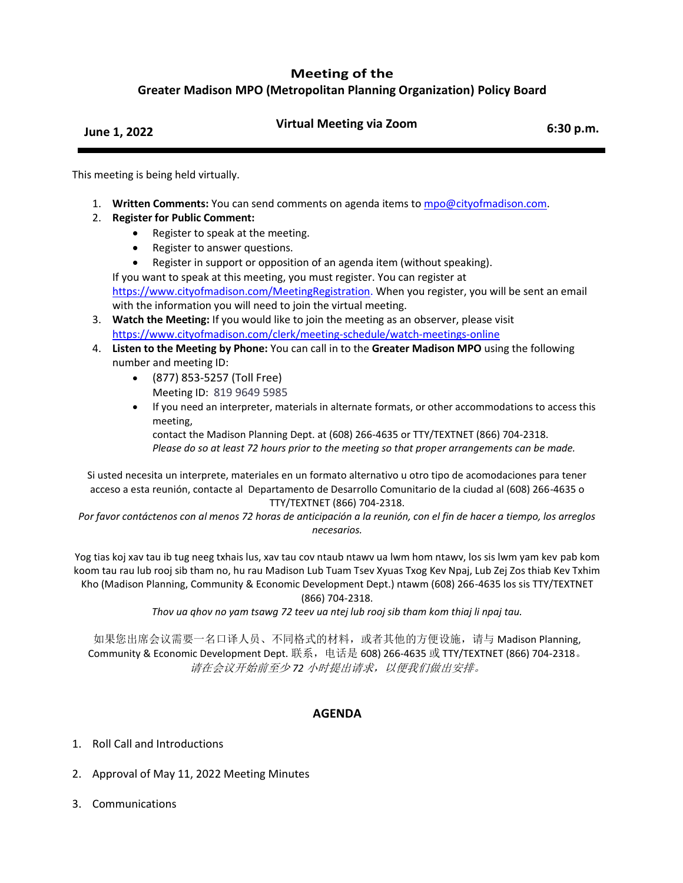## **Meeting of the**

**Greater Madison MPO (Metropolitan Planning Organization) Policy Board**

## **June 1, 2022 Virtual Meeting via Zoom 6:30 p.m.**

This meeting is being held virtually.

- 1. **Written Comments:** You can send comments on agenda items to [mpo@cityofmadison.com.](mailto:mpo@cityofmadison.com)
- 2. **Register for Public Comment:**
	- Register to speak at the meeting.
	- Register to answer questions.
	- Register in support or opposition of an agenda item (without speaking).

If you want to speak at this meeting, you must register. You can register at [https://www.cityofmadison.com/MeetingRegistration.](https://www.cityofmadison.com/MeetingRegistration) When you register, you will be sent an email with the information you will need to join the virtual meeting.

- 3. **Watch the Meeting:** If you would like to join the meeting as an observer, please visit <https://www.cityofmadison.com/clerk/meeting-schedule/watch-meetings-online>
- 4. **Listen to the Meeting by Phone:** You can call in to the **Greater Madison MPO** using the following number and meeting ID:
	- (877) 853-5257 (Toll Free) Meeting ID: 819 9649 5985
	- If you need an interpreter, materials in alternate formats, or other accommodations to access this meeting,

contact the Madison Planning Dept. at (608) 266-4635 or TTY/TEXTNET (866) 704-2318. *Please do so at least 72 hours prior to the meeting so that proper arrangements can be made.*

Si usted necesita un interprete, materiales en un formato alternativo u otro tipo de acomodaciones para tener acceso a esta reunión, contacte al Departamento de Desarrollo Comunitario de la ciudad al (608) 266-4635 o TTY/TEXTNET (866) 704-2318.

*Por favor contáctenos con al menos 72 horas de anticipación a la reunión, con el fin de hacer a tiempo, los arreglos necesarios.*

Yog tias koj xav tau ib tug neeg txhais lus, xav tau cov ntaub ntawv ua lwm hom ntawv, los sis lwm yam kev pab kom koom tau rau lub rooj sib tham no, hu rau Madison Lub Tuam Tsev Xyuas Txog Kev Npaj, Lub Zej Zos thiab Kev Txhim Kho (Madison Planning, Community & Economic Development Dept.) ntawm (608) 266-4635 los sis TTY/TEXTNET

(866) 704-2318.

*Thov ua qhov no yam tsawg 72 teev ua ntej lub rooj sib tham kom thiaj li npaj tau.*

如果您出席会议需要一名口译人员、不同格式的材料,或者其他的方便设施,请与 Madison Planning, Community & Economic Development Dept. 联系,电话是 608) 266-4635 或 TTY/TEXTNET (866) 704-2318。 请在会议开始前至少 *72* 小时提出请求,以便我们做出安排。

## **AGENDA**

- 1. Roll Call and Introductions
- 2. Approval of May 11, 2022 Meeting Minutes
- 3. Communications